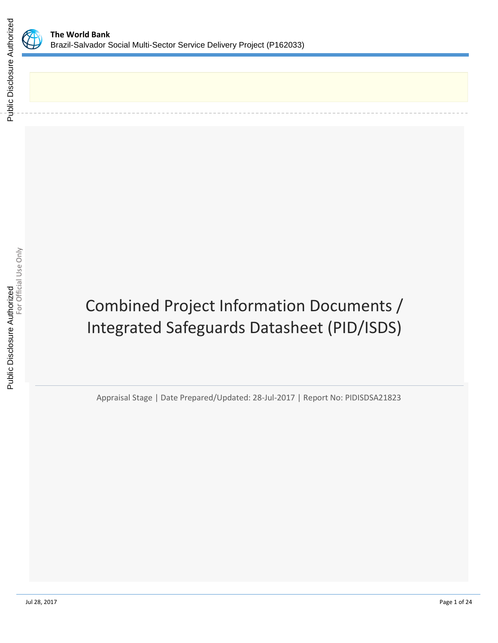

# Combined Project Information Documents / Integrated Safeguards Datasheet (PID/ISDS)

Appraisal Stage | Date Prepared/Updated: 28-Jul-2017 | Report No: PIDISDSA21823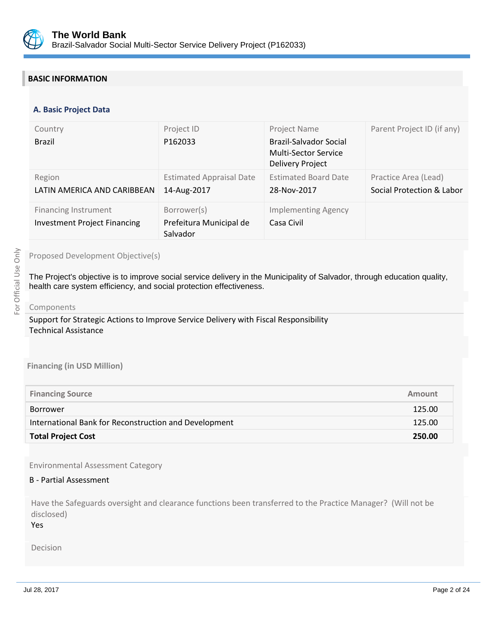

# **BASIC INFORMATION**

#### **OPS\_TABLE\_BASIC\_DATA A. Basic Project Data**

| Country<br><b>Brazil</b>                                           | Project ID<br>P162033                              | Project Name<br>Brazil-Salvador Social<br>Multi-Sector Service<br><b>Delivery Project</b> | Parent Project ID (if any)                        |
|--------------------------------------------------------------------|----------------------------------------------------|-------------------------------------------------------------------------------------------|---------------------------------------------------|
| Region<br>LATIN AMERICA AND CARIBBEAN                              | <b>Estimated Appraisal Date</b><br>14-Aug-2017     | <b>Estimated Board Date</b><br>28-Nov-2017                                                | Practice Area (Lead)<br>Social Protection & Labor |
| <b>Financing Instrument</b><br><b>Investment Project Financing</b> | Borrower(s)<br>Prefeitura Municipal de<br>Salvador | <b>Implementing Agency</b><br>Casa Civil                                                  |                                                   |

#### Proposed Development Objective(s)

The Project's objective is to improve social service delivery in the Municipality of Salvador, through education quality, health care system efficiency, and social protection effectiveness.

#### Components

Support for Strategic Actions to Improve Service Delivery with Fiscal Responsibility Technical Assistance

#### **Financing (in USD Million)**

| <b>Total Project Cost</b>                             | 250.00 |
|-------------------------------------------------------|--------|
| International Bank for Reconstruction and Development | 125.00 |
| <b>Borrower</b>                                       | 125.00 |
| <b>Financing Source</b>                               | Amount |
|                                                       |        |

Environmental Assessment Category

#### B - Partial Assessment

Have the Safeguards oversight and clearance functions been transferred to the Practice Manager? (Will not be disclosed)

Yes

Decision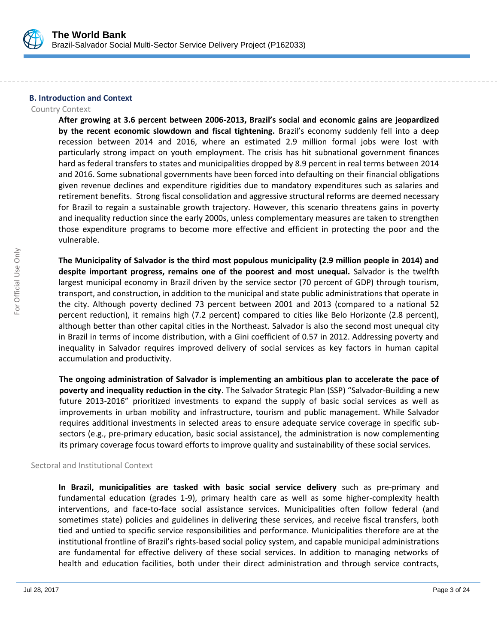

#### **B. Introduction and Context**

#### Country Context

**After growing at 3.6 percent between 2006-2013, Brazil's social and economic gains are jeopardized by the recent economic slowdown and fiscal tightening.** Brazil's economy suddenly fell into a deep recession between 2014 and 2016, where an estimated 2.9 million formal jobs were lost with particularly strong impact on youth employment. The crisis has hit subnational government finances hard as federal transfers to states and municipalities dropped by 8.9 percent in real terms between 2014 and 2016. Some subnational governments have been forced into defaulting on their financial obligations given revenue declines and expenditure rigidities due to mandatory expenditures such as salaries and retirement benefits. Strong fiscal consolidation and aggressive structural reforms are deemed necessary for Brazil to regain a sustainable growth trajectory. However, this scenario threatens gains in poverty and inequality reduction since the early 2000s, unless complementary measures are taken to strengthen those expenditure programs to become more effective and efficient in protecting the poor and the vulnerable.

**The Municipality of Salvador is the third most populous municipality (2.9 million people in 2014) and despite important progress, remains one of the poorest and most unequal.** Salvador is the twelfth largest municipal economy in Brazil driven by the service sector (70 percent of GDP) through tourism, transport, and construction, in addition to the municipal and state public administrations that operate in the city. Although poverty declined 73 percent between 2001 and 2013 (compared to a national 52 percent reduction), it remains high (7.2 percent) compared to cities like Belo Horizonte (2.8 percent), although better than other capital cities in the Northeast. Salvador is also the second most unequal city in Brazil in terms of income distribution, with a Gini coefficient of 0.57 in 2012. Addressing poverty and inequality in Salvador requires improved delivery of social services as key factors in human capital accumulation and productivity.

**The ongoing administration of Salvador is implementing an ambitious plan to accelerate the pace of poverty and inequality reduction in the city**. The Salvador Strategic Plan (SSP) "Salvador-Building a new future 2013-2016" prioritized investments to expand the supply of basic social services as well as improvements in urban mobility and infrastructure, tourism and public management. While Salvador requires additional investments in selected areas to ensure adequate service coverage in specific subsectors (e.g., pre-primary education, basic social assistance), the administration is now complementing its primary coverage focus toward efforts to improve quality and sustainability of these social services.

#### Sectoral and Institutional Context

**In Brazil, municipalities are tasked with basic social service delivery** such as pre-primary and fundamental education (grades 1-9), primary health care as well as some higher-complexity health interventions, and face-to-face social assistance services. Municipalities often follow federal (and sometimes state) policies and guidelines in delivering these services, and receive fiscal transfers, both tied and untied to specific service responsibilities and performance. Municipalities therefore are at the institutional frontline of Brazil's rights-based social policy system, and capable municipal administrations are fundamental for effective delivery of these social services. In addition to managing networks of health and education facilities, both under their direct administration and through service contracts,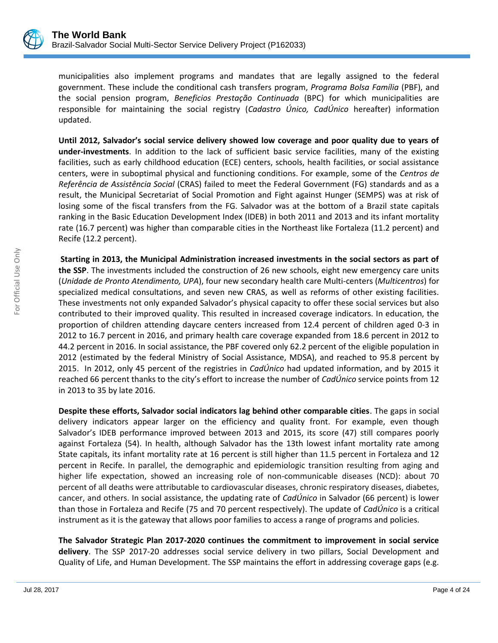

municipalities also implement programs and mandates that are legally assigned to the federal government. These include the conditional cash transfers program, *Programa Bolsa Família* (PBF), and the social pension program, *Beneficios Prestação Continuada* (BPC) for which municipalities are responsible for maintaining the social registry (*Cadastro Único, CadÚnico* hereafter) information updated.

**Until 2012, Salvador's social service delivery showed low coverage and poor quality due to years of under-investments**. In addition to the lack of sufficient basic service facilities, many of the existing facilities, such as early childhood education (ECE) centers, schools, health facilities, or social assistance centers, were in suboptimal physical and functioning conditions. For example, some of the *Centros de Referência de Assistência Social* (CRAS) failed to meet the Federal Government (FG) standards and as a result, the Municipal Secretariat of Social Promotion and Fight against Hunger (SEMPS) was at risk of losing some of the fiscal transfers from the FG. Salvador was at the bottom of a Brazil state capitals ranking in the Basic Education Development Index (IDEB) in both 2011 and 2013 and its infant mortality rate (16.7 percent) was higher than comparable cities in the Northeast like Fortaleza (11.2 percent) and Recife (12.2 percent).

**Starting in 2013, the Municipal Administration increased investments in the social sectors as part of the SSP**. The investments included the construction of 26 new schools, eight new emergency care units (*Unidade de Pronto Atendimento, UPA*), four new secondary health care Multi-centers (*Multicentros*) for specialized medical consultations, and seven new CRAS, as well as reforms of other existing facilities. These investments not only expanded Salvador's physical capacity to offer these social services but also contributed to their improved quality. This resulted in increased coverage indicators. In education, the proportion of children attending daycare centers increased from 12.4 percent of children aged 0-3 in 2012 to 16.7 percent in 2016, and primary health care coverage expanded from 18.6 percent in 2012 to 44.2 percent in 2016. In social assistance, the PBF covered only 62.2 percent of the eligible population in 2012 (estimated by the federal Ministry of Social Assistance, MDSA), and reached to 95.8 percent by 2015. In 2012, only 45 percent of the registries in *CadÚnico* had updated information, and by 2015 it reached 66 percent thanks to the city's effort to increase the number of *CadÚnico* service points from 12 in 2013 to 35 by late 2016.

**Despite these efforts, Salvador social indicators lag behind other comparable cities**. The gaps in social delivery indicators appear larger on the efficiency and quality front. For example, even though Salvador's IDEB performance improved between 2013 and 2015, its score (47) still compares poorly against Fortaleza (54). In health, although Salvador has the 13th lowest infant mortality rate among State capitals, its infant mortality rate at 16 percent is still higher than 11.5 percent in Fortaleza and 12 percent in Recife. In parallel, the demographic and epidemiologic transition resulting from aging and higher life expectation, showed an increasing role of non-communicable diseases (NCD): about 70 percent of all deaths were attributable to cardiovascular diseases, chronic respiratory diseases, diabetes, cancer, and others. In social assistance, the updating rate of *CadÚnico* in Salvador (66 percent) is lower than those in Fortaleza and Recife (75 and 70 percent respectively). The update of *CadÚnico* is a critical instrument as it is the gateway that allows poor families to access a range of programs and policies.

**The Salvador Strategic Plan 2017-2020 continues the commitment to improvement in social service delivery**. The SSP 2017-20 addresses social service delivery in two pillars, Social Development and Quality of Life, and Human Development. The SSP maintains the effort in addressing coverage gaps (e.g.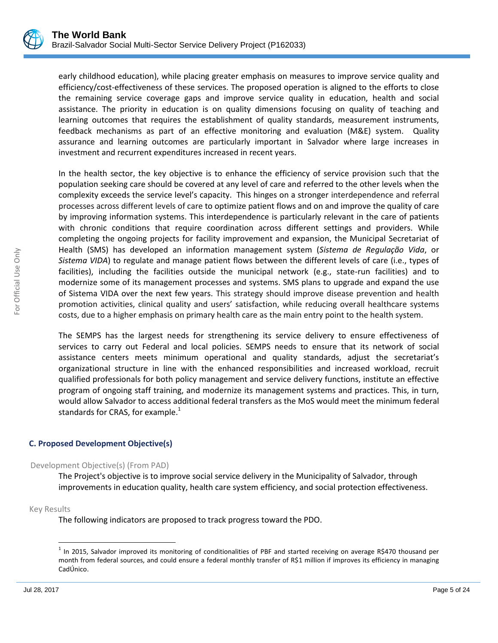

early childhood education), while placing greater emphasis on measures to improve service quality and efficiency/cost-effectiveness of these services. The proposed operation is aligned to the efforts to close the remaining service coverage gaps and improve service quality in education, health and social assistance. The priority in education is on quality dimensions focusing on quality of teaching and learning outcomes that requires the establishment of quality standards, measurement instruments, feedback mechanisms as part of an effective monitoring and evaluation (M&E) system. Quality assurance and learning outcomes are particularly important in Salvador where large increases in investment and recurrent expenditures increased in recent years.

In the health sector, the key objective is to enhance the efficiency of service provision such that the population seeking care should be covered at any level of care and referred to the other levels when the complexity exceeds the service level's capacity. This hinges on a stronger interdependence and referral processes across different levels of care to optimize patient flows and on and improve the quality of care by improving information systems. This interdependence is particularly relevant in the care of patients with chronic conditions that require coordination across different settings and providers. While completing the ongoing projects for facility improvement and expansion, the Municipal Secretariat of Health (SMS) has developed an information management system (*Sistema de Regulação Vida*, or *Sistema VIDA*) to regulate and manage patient flows between the different levels of care (i.e., types of facilities), including the facilities outside the municipal network (e.g., state-run facilities) and to modernize some of its management processes and systems. SMS plans to upgrade and expand the use of Sistema VIDA over the next few years. This strategy should improve disease prevention and health promotion activities, clinical quality and users' satisfaction, while reducing overall healthcare systems costs, due to a higher emphasis on primary health care as the main entry point to the health system.

The SEMPS has the largest needs for strengthening its service delivery to ensure effectiveness of services to carry out Federal and local policies. SEMPS needs to ensure that its network of social assistance centers meets minimum operational and quality standards, adjust the secretariat's organizational structure in line with the enhanced responsibilities and increased workload, recruit qualified professionals for both policy management and service delivery functions, institute an effective program of ongoing staff training, and modernize its management systems and practices. This, in turn, would allow Salvador to access additional federal transfers as the MoS would meet the minimum federal standards for CRAS, for example. $<sup>1</sup>$ </sup>

# **C. Proposed Development Objective(s)**

#### Development Objective(s) (From PAD)

The Project's objective is to improve social service delivery in the Municipality of Salvador, through improvements in education quality, health care system efficiency, and social protection effectiveness.

Key Results

 $\overline{\phantom{a}}$ 

The following indicators are proposed to track progress toward the PDO.

 $1$  In 2015, Salvador improved its monitoring of conditionalities of PBF and started receiving on average R\$470 thousand per month from federal sources, and could ensure a federal monthly transfer of R\$1 million if improves its efficiency in managing CadÚnico.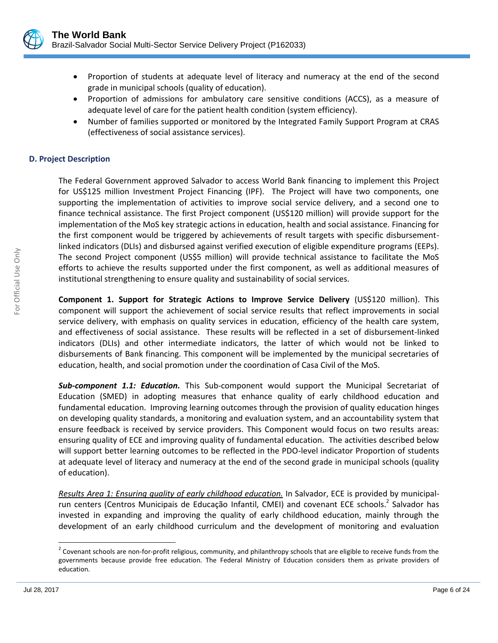

- Proportion of students at adequate level of literacy and numeracy at the end of the second grade in municipal schools (quality of education).
- Proportion of admissions for ambulatory care sensitive conditions (ACCS), as a measure of adequate level of care for the patient health condition (system efficiency).
- Number of families supported or monitored by the Integrated Family Support Program at CRAS (effectiveness of social assistance services).

#### **D. Project Description**

The Federal Government approved Salvador to access World Bank financing to implement this Project for US\$125 million Investment Project Financing (IPF). The Project will have two components, one supporting the implementation of activities to improve social service delivery, and a second one to finance technical assistance. The first Project component (US\$120 million) will provide support for the implementation of the MoS key strategic actions in education, health and social assistance. Financing for the first component would be triggered by achievements of result targets with specific disbursementlinked indicators (DLIs) and disbursed against verified execution of eligible expenditure programs (EEPs). The second Project component (US\$5 million) will provide technical assistance to facilitate the MoS efforts to achieve the results supported under the first component, as well as additional measures of institutional strengthening to ensure quality and sustainability of social services.

**Component 1. Support for Strategic Actions to Improve Service Delivery** (US\$120 million). This component will support the achievement of social service results that reflect improvements in social service delivery, with emphasis on quality services in education, efficiency of the health care system, and effectiveness of social assistance. These results will be reflected in a set of disbursement-linked indicators (DLIs) and other intermediate indicators, the latter of which would not be linked to disbursements of Bank financing. This component will be implemented by the municipal secretaries of education, health, and social promotion under the coordination of Casa Civil of the MoS.

*Sub-component 1.1: Education.* This Sub-component would support the Municipal Secretariat of Education (SMED) in adopting measures that enhance quality of early childhood education and fundamental education. Improving learning outcomes through the provision of quality education hinges on developing quality standards, a monitoring and evaluation system, and an accountability system that ensure feedback is received by service providers. This Component would focus on two results areas: ensuring quality of ECE and improving quality of fundamental education. The activities described below will support better learning outcomes to be reflected in the PDO-level indicator Proportion of students at adequate level of literacy and numeracy at the end of the second grade in municipal schools (quality of education).

*Results Area 1: Ensuring quality of early childhood education.* In Salvador, ECE is provided by municipalrun centers (Centros Municipais de Educação Infantil, CMEI) and covenant ECE schools.<sup>2</sup> Salvador has invested in expanding and improving the quality of early childhood education, mainly through the development of an early childhood curriculum and the development of monitoring and evaluation

 $\overline{\phantom{a}}$ 

 $^2$  Covenant schools are non-for-profit religious, community, and philanthropy schools that are eligible to receive funds from the governments because provide free education. The Federal Ministry of Education considers them as private providers of education.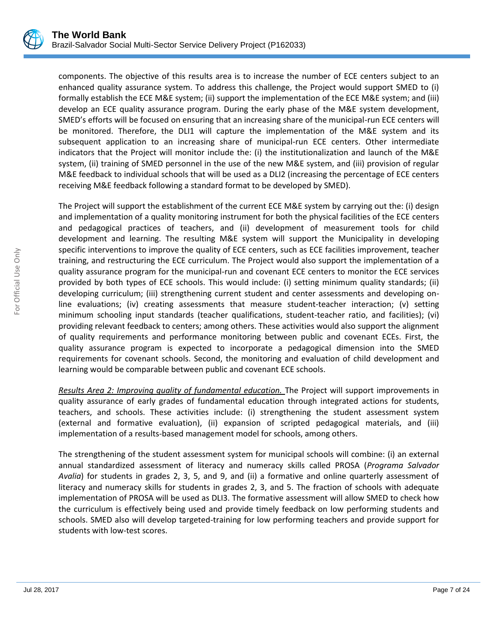

components. The objective of this results area is to increase the number of ECE centers subject to an enhanced quality assurance system. To address this challenge, the Project would support SMED to (i) formally establish the ECE M&E system; (ii) support the implementation of the ECE M&E system; and (iii) develop an ECE quality assurance program. During the early phase of the M&E system development, SMED's efforts will be focused on ensuring that an increasing share of the municipal-run ECE centers will be monitored. Therefore, the DLI1 will capture the implementation of the M&E system and its subsequent application to an increasing share of municipal-run ECE centers. Other intermediate indicators that the Project will monitor include the: (i) the institutionalization and launch of the M&E system, (ii) training of SMED personnel in the use of the new M&E system, and (iii) provision of regular M&E feedback to individual schools that will be used as a DLI2 (increasing the percentage of ECE centers receiving M&E feedback following a standard format to be developed by SMED).

The Project will support the establishment of the current ECE M&E system by carrying out the: (i) design and implementation of a quality monitoring instrument for both the physical facilities of the ECE centers and pedagogical practices of teachers, and (ii) development of measurement tools for child development and learning. The resulting M&E system will support the Municipality in developing specific interventions to improve the quality of ECE centers, such as ECE facilities improvement, teacher training, and restructuring the ECE curriculum. The Project would also support the implementation of a quality assurance program for the municipal-run and covenant ECE centers to monitor the ECE services provided by both types of ECE schools. This would include: (i) setting minimum quality standards; (ii) developing curriculum; (iii) strengthening current student and center assessments and developing online evaluations; (iv) creating assessments that measure student-teacher interaction; (v) setting minimum schooling input standards (teacher qualifications, student-teacher ratio, and facilities); (vi) providing relevant feedback to centers; among others. These activities would also support the alignment of quality requirements and performance monitoring between public and covenant ECEs. First, the quality assurance program is expected to incorporate a pedagogical dimension into the SMED requirements for covenant schools. Second, the monitoring and evaluation of child development and learning would be comparable between public and covenant ECE schools.

*Results Area 2: Improving quality of fundamental education.* The Project will support improvements in quality assurance of early grades of fundamental education through integrated actions for students, teachers, and schools. These activities include: (i) strengthening the student assessment system (external and formative evaluation), (ii) expansion of scripted pedagogical materials, and (iii) implementation of a results-based management model for schools, among others.

The strengthening of the student assessment system for municipal schools will combine: (i) an external annual standardized assessment of literacy and numeracy skills called PROSA (*Programa Salvador Avalia*) for students in grades 2, 3, 5, and 9, and (ii) a formative and online quarterly assessment of literacy and numeracy skills for students in grades 2, 3, and 5. The fraction of schools with adequate implementation of PROSA will be used as DLI3. The formative assessment will allow SMED to check how the curriculum is effectively being used and provide timely feedback on low performing students and schools. SMED also will develop targeted-training for low performing teachers and provide support for students with low-test scores.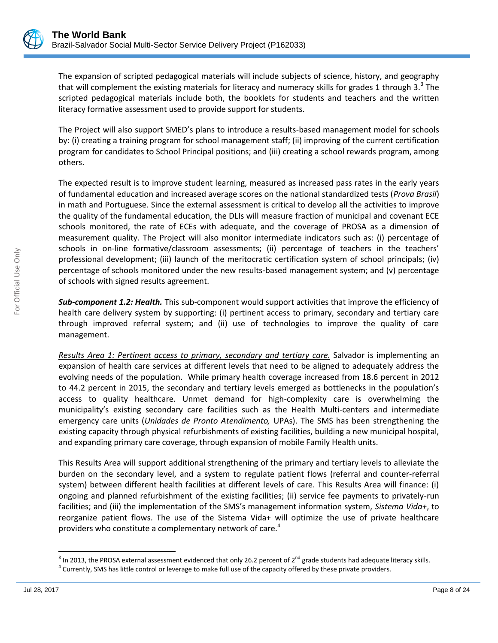

The expansion of scripted pedagogical materials will include subjects of science, history, and geography that will complement the existing materials for literacy and numeracy skills for grades 1 through 3.<sup>3</sup> The scripted pedagogical materials include both, the booklets for students and teachers and the written literacy formative assessment used to provide support for students.

The Project will also support SMED's plans to introduce a results-based management model for schools by: (i) creating a training program for school management staff; (ii) improving of the current certification program for candidates to School Principal positions; and (iii) creating a school rewards program, among others.

The expected result is to improve student learning, measured as increased pass rates in the early years of fundamental education and increased average scores on the national standardized tests (*Prova Brasil*) in math and Portuguese. Since the external assessment is critical to develop all the activities to improve the quality of the fundamental education, the DLIs will measure fraction of municipal and covenant ECE schools monitored, the rate of ECEs with adequate, and the coverage of PROSA as a dimension of measurement quality. The Project will also monitor intermediate indicators such as: (i) percentage of schools in on-line formative/classroom assessments; (ii) percentage of teachers in the teachers' professional development; (iii) launch of the meritocratic certification system of school principals; (iv) percentage of schools monitored under the new results-based management system; and (v) percentage of schools with signed results agreement.

*Sub-component 1.2: Health.* This sub-component would support activities that improve the efficiency of health care delivery system by supporting: (i) pertinent access to primary, secondary and tertiary care through improved referral system; and (ii) use of technologies to improve the quality of care management.

*Results Area 1: Pertinent access to primary, secondary and tertiary care.* Salvador is implementing an expansion of health care services at different levels that need to be aligned to adequately address the evolving needs of the population. While primary health coverage increased from 18.6 percent in 2012 to 44.2 percent in 2015, the secondary and tertiary levels emerged as bottlenecks in the population's access to quality healthcare. Unmet demand for high-complexity care is overwhelming the municipality's existing secondary care facilities such as the Health Multi-centers and intermediate emergency care units (*Unidades de Pronto Atendimento,* UPAs). The SMS has been strengthening the existing capacity through physical refurbishments of existing facilities, building a new municipal hospital, and expanding primary care coverage, through expansion of mobile Family Health units.

This Results Area will support additional strengthening of the primary and tertiary levels to alleviate the burden on the secondary level, and a system to regulate patient flows (referral and counter-referral system) between different health facilities at different levels of care. This Results Area will finance: (i) ongoing and planned refurbishment of the existing facilities; (ii) service fee payments to privately-run facilities; and (iii) the implementation of the SMS's management information system, *Sistema Vida+*, to reorganize patient flows. The use of the Sistema Vida+ will optimize the use of private healthcare providers who constitute a complementary network of care.<sup>4</sup>

 $\overline{\phantom{a}}$ 

 $^3$  In 2013, the PROSA external assessment evidenced that only 26.2 percent of 2<sup>nd</sup> grade students had adequate literacy skills.

<sup>&</sup>lt;sup>4</sup> Currently, SMS has little control or leverage to make full use of the capacity offered by these private providers.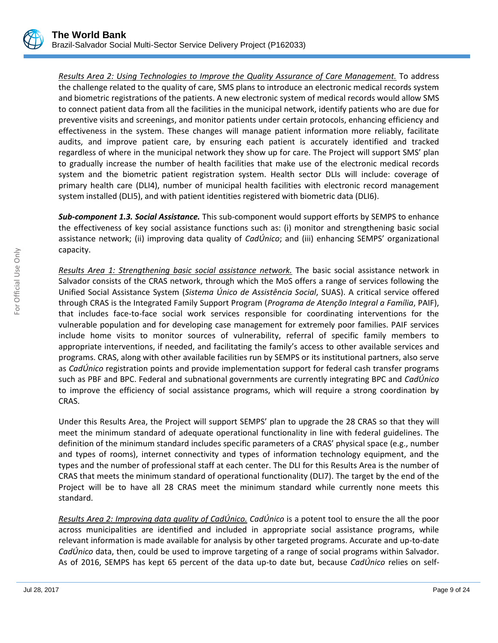

*Results Area 2: Using Technologies to Improve the Quality Assurance of Care Management.* To address the challenge related to the quality of care, SMS plans to introduce an electronic medical records system and biometric registrations of the patients. A new electronic system of medical records would allow SMS to connect patient data from all the facilities in the municipal network, identify patients who are due for preventive visits and screenings, and monitor patients under certain protocols, enhancing efficiency and effectiveness in the system. These changes will manage patient information more reliably, facilitate audits, and improve patient care, by ensuring each patient is accurately identified and tracked regardless of where in the municipal network they show up for care. The Project will support SMS' plan to gradually increase the number of health facilities that make use of the electronic medical records system and the biometric patient registration system. Health sector DLIs will include: coverage of primary health care (DLI4), number of municipal health facilities with electronic record management system installed (DLI5), and with patient identities registered with biometric data (DLI6).

*Sub-component 1.3. Social Assistance.* This sub-component would support efforts by SEMPS to enhance the effectiveness of key social assistance functions such as: (i) monitor and strengthening basic social assistance network; (ii) improving data quality of *CadÚnico*; and (iii) enhancing SEMPS' organizational capacity.

*Results Area 1: Strengthening basic social assistance network.* The basic social assistance network in Salvador consists of the CRAS network, through which the MoS offers a range of services following the Unified Social Assistance System (*Sistema Único de Assistência Social*, SUAS). A critical service offered through CRAS is the Integrated Family Support Program (*Programa de Atenção Integral a Família*, PAIF), that includes face-to-face social work services responsible for coordinating interventions for the vulnerable population and for developing case management for extremely poor families. PAIF services include home visits to monitor sources of vulnerability, referral of specific family members to appropriate interventions, if needed, and facilitating the family's access to other available services and programs. CRAS, along with other available facilities run by SEMPS or its institutional partners, also serve as *CadÚnico* registration points and provide implementation support for federal cash transfer programs such as PBF and BPC. Federal and subnational governments are currently integrating BPC and *CadÚnico* to improve the efficiency of social assistance programs, which will require a strong coordination by CRAS.

Under this Results Area, the Project will support SEMPS' plan to upgrade the 28 CRAS so that they will meet the minimum standard of adequate operational functionality in line with federal guidelines. The definition of the minimum standard includes specific parameters of a CRAS' physical space (e.g., number and types of rooms), internet connectivity and types of information technology equipment, and the types and the number of professional staff at each center. The DLI for this Results Area is the number of CRAS that meets the minimum standard of operational functionality (DLI7). The target by the end of the Project will be to have all 28 CRAS meet the minimum standard while currently none meets this standard.

*Results Area 2: Improving data quality of CadÚnico. CadÚnico* is a potent tool to ensure the all the poor across municipalities are identified and included in appropriate social assistance programs, while relevant information is made available for analysis by other targeted programs. Accurate and up-to-date *CadÚnico* data, then, could be used to improve targeting of a range of social programs within Salvador. As of 2016, SEMPS has kept 65 percent of the data up-to date but, because *CadÚnico* relies on self-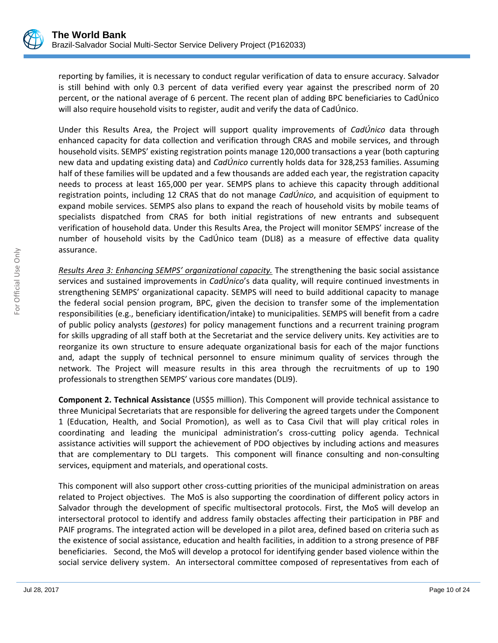

reporting by families, it is necessary to conduct regular verification of data to ensure accuracy. Salvador is still behind with only 0.3 percent of data verified every year against the prescribed norm of 20 percent, or the national average of 6 percent. The recent plan of adding BPC beneficiaries to CadÚnico will also require household visits to register, audit and verify the data of CadÚnico.

Under this Results Area, the Project will support quality improvements of *CadÚnico* data through enhanced capacity for data collection and verification through CRAS and mobile services, and through household visits. SEMPS' existing registration points manage 120,000 transactions a year (both capturing new data and updating existing data) and *CadÚnico* currently holds data for 328,253 families. Assuming half of these families will be updated and a few thousands are added each year, the registration capacity needs to process at least 165,000 per year. SEMPS plans to achieve this capacity through additional registration points, including 12 CRAS that do not manage *CadÚnico*, and acquisition of equipment to expand mobile services. SEMPS also plans to expand the reach of household visits by mobile teams of specialists dispatched from CRAS for both initial registrations of new entrants and subsequent verification of household data. Under this Results Area, the Project will monitor SEMPS' increase of the number of household visits by the CadÚnico team (DLI8) as a measure of effective data quality assurance.

*Results Area 3: Enhancing SEMPS' organizational capacity.* The strengthening the basic social assistance services and sustained improvements in *CadÚnico*'s data quality, will require continued investments in strengthening SEMPS' organizational capacity. SEMPS will need to build additional capacity to manage the federal social pension program, BPC, given the decision to transfer some of the implementation responsibilities (e.g., beneficiary identification/intake) to municipalities. SEMPS will benefit from a cadre of public policy analysts (*gestores*) for policy management functions and a recurrent training program for skills upgrading of all staff both at the Secretariat and the service delivery units. Key activities are to reorganize its own structure to ensure adequate organizational basis for each of the major functions and, adapt the supply of technical personnel to ensure minimum quality of services through the network. The Project will measure results in this area through the recruitments of up to 190 professionals to strengthen SEMPS' various core mandates (DLI9).

**Component 2. Technical Assistance** (US\$5 million). This Component will provide technical assistance to three Municipal Secretariats that are responsible for delivering the agreed targets under the Component 1 (Education, Health, and Social Promotion), as well as to Casa Civil that will play critical roles in coordinating and leading the municipal administration's cross-cutting policy agenda. Technical assistance activities will support the achievement of PDO objectives by including actions and measures that are complementary to DLI targets. This component will finance consulting and non-consulting services, equipment and materials, and operational costs.

This component will also support other cross-cutting priorities of the municipal administration on areas related to Project objectives. The MoS is also supporting the coordination of different policy actors in Salvador through the development of specific multisectoral protocols. First, the MoS will develop an intersectoral protocol to identify and address family obstacles affecting their participation in PBF and PAIF programs. The integrated action will be developed in a pilot area, defined based on criteria such as the existence of social assistance, education and health facilities, in addition to a strong presence of PBF beneficiaries. Second, the MoS will develop a protocol for identifying gender based violence within the social service delivery system. An intersectoral committee composed of representatives from each of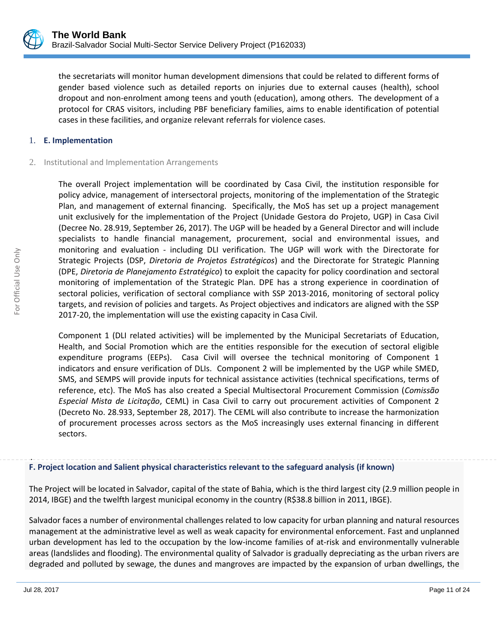

the secretariats will monitor human development dimensions that could be related to different forms of gender based violence such as detailed reports on injuries due to external causes (health), school dropout and non-enrolment among teens and youth (education), among others. The development of a protocol for CRAS visitors, including PBF beneficiary families, aims to enable identification of potential cases in these facilities, and organize relevant referrals for violence cases.

#### 1. **E. Implementation**

#### 2. Institutional and Implementation Arrangements

The overall Project implementation will be coordinated by Casa Civil, the institution responsible for policy advice, management of intersectoral projects, monitoring of the implementation of the Strategic Plan, and management of external financing. Specifically, the MoS has set up a project management unit exclusively for the implementation of the Project (Unidade Gestora do Projeto, UGP) in Casa Civil (Decree No. 28.919, September 26, 2017). The UGP will be headed by a General Director and will include specialists to handle financial management, procurement, social and environmental issues, and monitoring and evaluation - including DLI verification. The UGP will work with the Directorate for Strategic Projects (DSP, *Diretoria de Projetos Estratégicos*) and the Directorate for Strategic Planning (DPE, *Diretoria de Planejamento Estratégico*) to exploit the capacity for policy coordination and sectoral monitoring of implementation of the Strategic Plan. DPE has a strong experience in coordination of sectoral policies, verification of sectoral compliance with SSP 2013-2016, monitoring of sectoral policy targets, and revision of policies and targets. As Project objectives and indicators are aligned with the SSP 2017-20, the implementation will use the existing capacity in Casa Civil.

Component 1 (DLI related activities) will be implemented by the Municipal Secretariats of Education, Health, and Social Promotion which are the entities responsible for the execution of sectoral eligible expenditure programs (EEPs). Casa Civil will oversee the technical monitoring of Component 1 indicators and ensure verification of DLIs. Component 2 will be implemented by the UGP while SMED, SMS, and SEMPS will provide inputs for technical assistance activities (technical specifications, terms of reference, etc). The MoS has also created a Special Multisectoral Procurement Commission (*Comissão Especial Mista de Licitação*, CEML) in Casa Civil to carry out procurement activities of Component 2 (Decreto No. 28.933, September 28, 2017). The CEML will also contribute to increase the harmonization of procurement processes across sectors as the MoS increasingly uses external financing in different sectors.

#### . **F. Project location and Salient physical characteristics relevant to the safeguard analysis (if known)**

The Project will be located in Salvador, capital of the state of Bahia, which is the third largest city (2.9 million people in 2014, IBGE) and the twelfth largest municipal economy in the country (R\$38.8 billion in 2011, IBGE).

Salvador faces a number of environmental challenges related to low capacity for urban planning and natural resources management at the administrative level as well as weak capacity for environmental enforcement. Fast and unplanned urban development has led to the occupation by the low-income families of at-risk and environmentally vulnerable areas (landslides and flooding). The environmental quality of Salvador is gradually depreciating as the urban rivers are degraded and polluted by sewage, the dunes and mangroves are impacted by the expansion of urban dwellings, the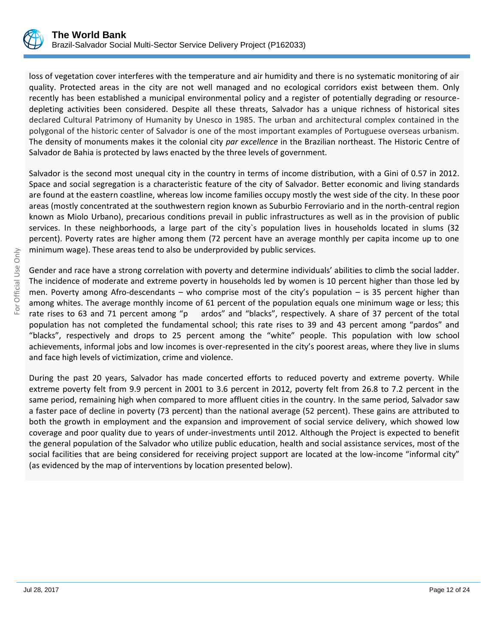

loss of vegetation cover interferes with the temperature and air humidity and there is no systematic monitoring of air quality. Protected areas in the city are not well managed and no ecological corridors exist between them. Only recently has been established a municipal environmental policy and a register of potentially degrading or resourcedepleting activities been considered. Despite all these threats, Salvador has a unique richness of historical sites declared Cultural Patrimony of Humanity by Unesco in 1985. The urban and architectural complex contained in the polygonal of the historic center of Salvador is one of the most important examples of Portuguese overseas urbanism. The density of monuments makes it the colonial city *par excellence* in the Brazilian northeast. The Historic Centre of Salvador de Bahia is protected by laws enacted by the three levels of government.

Salvador is the second most unequal city in the country in terms of income distribution, with a Gini of 0.57 in 2012. Space and social segregation is a characteristic feature of the city of Salvador. Better economic and living standards are found at the eastern coastline, whereas low income families occupy mostly the west side of the city. In these poor areas (mostly concentrated at the southwestern region known as Suburbio Ferroviario and in the north-central region known as Miolo Urbano), precarious conditions prevail in public infrastructures as well as in the provision of public services. In these neighborhoods, a large part of the city`s population lives in households located in slums (32 percent). Poverty rates are higher among them (72 percent have an average monthly per capita income up to one minimum wage). These areas tend to also be underprovided by public services.

Gender and race have a strong correlation with poverty and determine individuals' abilities to climb the social ladder. The incidence of moderate and extreme poverty in households led by women is 10 percent higher than those led by men. Poverty among Afro-descendants – who comprise most of the city's population – is 35 percent higher than among whites. The average monthly income of 61 percent of the population equals one minimum wage or less; this rate rises to 63 and 71 percent among "p ardos" and "blacks", respectively. A share of 37 percent of the total population has not completed the fundamental school; this rate rises to 39 and 43 percent among "pardos" and "blacks", respectively and drops to 25 percent among the "white" people. This population with low school achievements, informal jobs and low incomes is over-represented in the city's poorest areas, where they live in slums and face high levels of victimization, crime and violence.

During the past 20 years, Salvador has made concerted efforts to reduced poverty and extreme poverty. While extreme poverty felt from 9.9 percent in 2001 to 3.6 percent in 2012, poverty felt from 26.8 to 7.2 percent in the same period, remaining high when compared to more affluent cities in the country. In the same period, Salvador saw a faster pace of decline in poverty (73 percent) than the national average (52 percent). These gains are attributed to both the growth in employment and the expansion and improvement of social service delivery, which showed low coverage and poor quality due to years of under-investments until 2012. Although the Project is expected to benefit the general population of the Salvador who utilize public education, health and social assistance services, most of the social facilities that are being considered for receiving project support are located at the low-income "informal city" (as evidenced by the map of interventions by location presented below).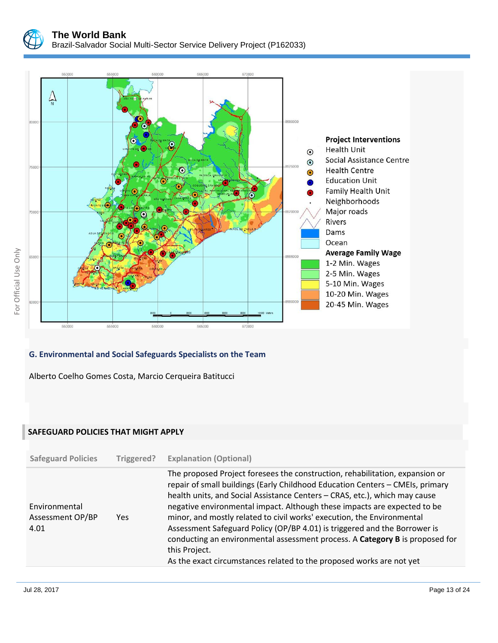



# **G. Environmental and Social Safeguards Specialists on the Team**

Alberto Coelho Gomes Costa, Marcio Cerqueira Batitucci

#### **SAFEGUARD POLICIES THAT MIGHT APPLY**

|                                                                                                                                                                                                                                                                                                                                                                                                                                                            | <b>Safeguard Policies</b> | Triggered? | <b>Explanation (Optional)</b>                                                                                                                                                                                                                 |
|------------------------------------------------------------------------------------------------------------------------------------------------------------------------------------------------------------------------------------------------------------------------------------------------------------------------------------------------------------------------------------------------------------------------------------------------------------|---------------------------|------------|-----------------------------------------------------------------------------------------------------------------------------------------------------------------------------------------------------------------------------------------------|
| health units, and Social Assistance Centers - CRAS, etc.), which may cause<br>negative environmental impact. Although these impacts are expected to be<br>Environmental<br>minor, and mostly related to civil works' execution, the Environmental<br>Assessment OP/BP<br>Yes<br>Assessment Safeguard Policy (OP/BP 4.01) is triggered and the Borrower is<br>4.01<br>this Project.<br>As the exact circumstances related to the proposed works are not yet |                           |            | The proposed Project foresees the construction, rehabilitation, expansion or<br>repair of small buildings (Early Childhood Education Centers - CMEIs, primary<br>conducting an environmental assessment process. A Category B is proposed for |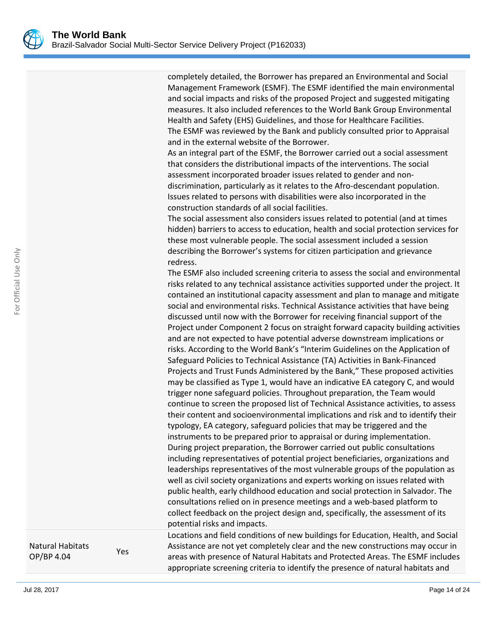completely detailed, the Borrower has prepared an Environmental and Social Management Framework (ESMF). The ESMF identified the main environmental and social impacts and risks of the proposed Project and suggested mitigating measures. It also included references to the World Bank Group Environmental Health and Safety (EHS) Guidelines, and those for Healthcare Facilities. The ESMF was reviewed by the Bank and publicly consulted prior to Appraisal and in the external website of the Borrower.

As an integral part of the ESMF, the Borrower carried out a social assessment that considers the distributional impacts of the interventions. The social assessment incorporated broader issues related to gender and nondiscrimination, particularly as it relates to the Afro-descendant population. Issues related to persons with disabilities were also incorporated in the construction standards of all social facilities.

The social assessment also considers issues related to potential (and at times hidden) barriers to access to education, health and social protection services for these most vulnerable people. The social assessment included a session describing the Borrower's systems for citizen participation and grievance redress.

The ESMF also included screening criteria to assess the social and environmental risks related to any technical assistance activities supported under the project. It contained an institutional capacity assessment and plan to manage and mitigate social and environmental risks. Technical Assistance activities that have being discussed until now with the Borrower for receiving financial support of the Project under Component 2 focus on straight forward capacity building activities and are not expected to have potential adverse downstream implications or risks. According to the World Bank's "Interim Guidelines on the Application of Safeguard Policies to Technical Assistance (TA) Activities in Bank-Financed Projects and Trust Funds Administered by the Bank," These proposed activities may be classified as Type 1, would have an indicative EA category C, and would trigger none safeguard policies. Throughout preparation, the Team would continue to screen the proposed list of Technical Assistance activities, to assess their content and socioenvironmental implications and risk and to identify their typology, EA category, safeguard policies that may be triggered and the instruments to be prepared prior to appraisal or during implementation. During project preparation, the Borrower carried out public consultations including representatives of potential project beneficiaries, organizations and leaderships representatives of the most vulnerable groups of the population as well as civil society organizations and experts working on issues related with public health, early childhood education and social protection in Salvador. The consultations relied on in presence meetings and a web-based platform to collect feedback on the project design and, specifically, the assessment of its potential risks and impacts.

Locations and field conditions of new buildings for Education, Health, and Social Assistance are not yet completely clear and the new constructions may occur in areas with presence of Natural Habitats and Protected Areas. The ESMF includes appropriate screening criteria to identify the presence of natural habitats and

Natural Habitats OP/BP 4.04 Yes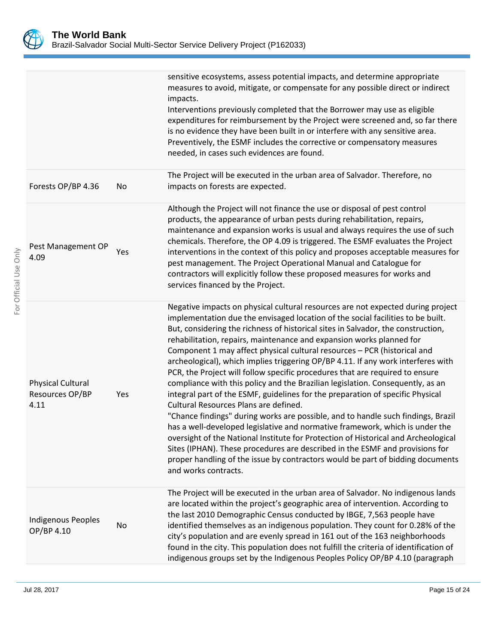

|                                                     |     | sensitive ecosystems, assess potential impacts, and determine appropriate<br>measures to avoid, mitigate, or compensate for any possible direct or indirect<br>impacts.<br>Interventions previously completed that the Borrower may use as eligible<br>expenditures for reimbursement by the Project were screened and, so far there<br>is no evidence they have been built in or interfere with any sensitive area.<br>Preventively, the ESMF includes the corrective or compensatory measures<br>needed, in cases such evidences are found.                                                                                                                                                                                                                                                                                                                                                                                                                                                                                                                                                                                                                                                                                                   |
|-----------------------------------------------------|-----|-------------------------------------------------------------------------------------------------------------------------------------------------------------------------------------------------------------------------------------------------------------------------------------------------------------------------------------------------------------------------------------------------------------------------------------------------------------------------------------------------------------------------------------------------------------------------------------------------------------------------------------------------------------------------------------------------------------------------------------------------------------------------------------------------------------------------------------------------------------------------------------------------------------------------------------------------------------------------------------------------------------------------------------------------------------------------------------------------------------------------------------------------------------------------------------------------------------------------------------------------|
| Forests OP/BP 4.36                                  | No  | The Project will be executed in the urban area of Salvador. Therefore, no<br>impacts on forests are expected.                                                                                                                                                                                                                                                                                                                                                                                                                                                                                                                                                                                                                                                                                                                                                                                                                                                                                                                                                                                                                                                                                                                                   |
| Pest Management OP<br>4.09                          | Yes | Although the Project will not finance the use or disposal of pest control<br>products, the appearance of urban pests during rehabilitation, repairs,<br>maintenance and expansion works is usual and always requires the use of such<br>chemicals. Therefore, the OP 4.09 is triggered. The ESMF evaluates the Project<br>interventions in the context of this policy and proposes acceptable measures for<br>pest management. The Project Operational Manual and Catalogue for<br>contractors will explicitly follow these proposed measures for works and<br>services financed by the Project.                                                                                                                                                                                                                                                                                                                                                                                                                                                                                                                                                                                                                                                |
| <b>Physical Cultural</b><br>Resources OP/BP<br>4.11 | Yes | Negative impacts on physical cultural resources are not expected during project<br>implementation due the envisaged location of the social facilities to be built.<br>But, considering the richness of historical sites in Salvador, the construction,<br>rehabilitation, repairs, maintenance and expansion works planned for<br>Component 1 may affect physical cultural resources - PCR (historical and<br>archeological), which implies triggering OP/BP 4.11. If any work interferes with<br>PCR, the Project will follow specific procedures that are required to ensure<br>compliance with this policy and the Brazilian legislation. Consequently, as an<br>integral part of the ESMF, guidelines for the preparation of specific Physical<br>Cultural Resources Plans are defined.<br>"Chance findings" during works are possible, and to handle such findings, Brazil<br>has a well-developed legislative and normative framework, which is under the<br>oversight of the National Institute for Protection of Historical and Archeological<br>Sites (IPHAN). These procedures are described in the ESMF and provisions for<br>proper handling of the issue by contractors would be part of bidding documents<br>and works contracts. |
| <b>Indigenous Peoples</b><br>OP/BP 4.10             | No  | The Project will be executed in the urban area of Salvador. No indigenous lands<br>are located within the project's geographic area of intervention. According to<br>the last 2010 Demographic Census conducted by IBGE, 7,563 people have<br>identified themselves as an indigenous population. They count for 0.28% of the<br>city's population and are evenly spread in 161 out of the 163 neighborhoods<br>found in the city. This population does not fulfill the criteria of identification of<br>indigenous groups set by the Indigenous Peoples Policy OP/BP 4.10 (paragraph                                                                                                                                                                                                                                                                                                                                                                                                                                                                                                                                                                                                                                                            |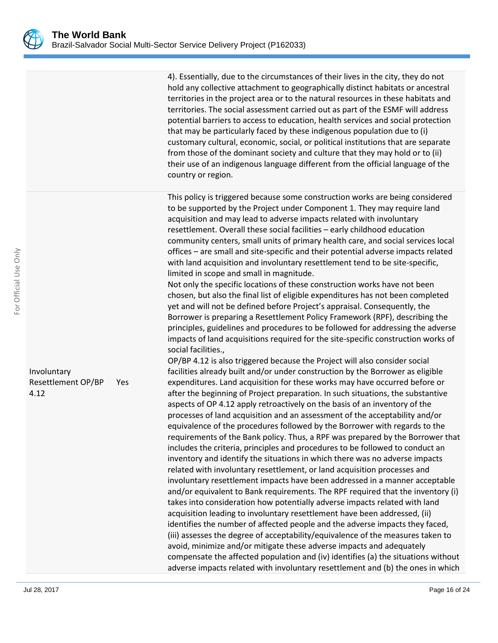4). Essentially, due to the circumstances of their lives in the city, they do not hold any collective attachment to geographically distinct habitats or ancestral territories in the project area or to the natural resources in these habitats and territories. The social assessment carried out as part of the ESMF will address potential barriers to access to education, health services and social protection that may be particularly faced by these indigenous population due to (i) customary cultural, economic, social, or political institutions that are separate from those of the dominant society and culture that they may hold or to (ii) their use of an indigenous language different from the official language of the country or region.

This policy is triggered because some construction works are being considered to be supported by the Project under Component 1. They may require land acquisition and may lead to adverse impacts related with involuntary resettlement. Overall these social facilities – early childhood education community centers, small units of primary health care, and social services local offices – are small and site-specific and their potential adverse impacts related with land acquisition and involuntary resettlement tend to be site-specific, limited in scope and small in magnitude.

Not only the specific locations of these construction works have not been chosen, but also the final list of eligible expenditures has not been completed yet and will not be defined before Project's appraisal. Consequently, the Borrower is preparing a Resettlement Policy Framework (RPF), describing the principles, guidelines and procedures to be followed for addressing the adverse impacts of land acquisitions required for the site-specific construction works of social facilities.,

OP/BP 4.12 is also triggered because the Project will also consider social facilities already built and/or under construction by the Borrower as eligible expenditures. Land acquisition for these works may have occurred before or after the beginning of Project preparation. In such situations, the substantive aspects of OP 4.12 apply retroactively on the basis of an inventory of the processes of land acquisition and an assessment of the acceptability and/or equivalence of the procedures followed by the Borrower with regards to the requirements of the Bank policy. Thus, a RPF was prepared by the Borrower that includes the criteria, principles and procedures to be followed to conduct an inventory and identify the situations in which there was no adverse impacts related with involuntary resettlement, or land acquisition processes and involuntary resettlement impacts have been addressed in a manner acceptable and/or equivalent to Bank requirements. The RPF required that the inventory (i) takes into consideration how potentially adverse impacts related with land acquisition leading to involuntary resettlement have been addressed, (ii) identifies the number of affected people and the adverse impacts they faced, (iii) assesses the degree of acceptability/equivalence of the measures taken to avoid, minimize and/or mitigate these adverse impacts and adequately compensate the affected population and (iv) identifies (a) the situations without adverse impacts related with involuntary resettlement and (b) the ones in which

#### Involuntary Resettlement OP/BP 4.12 Yes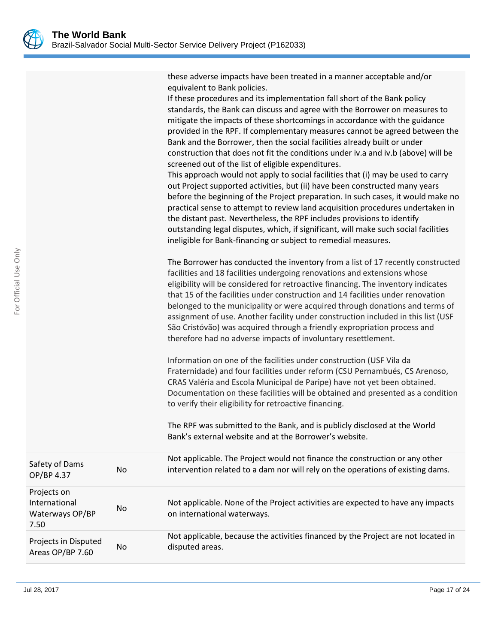these adverse impacts have been treated in a manner acceptable and/or equivalent to Bank policies.

If these procedures and its implementation fall short of the Bank policy standards, the Bank can discuss and agree with the Borrower on measures to mitigate the impacts of these shortcomings in accordance with the guidance provided in the RPF. If complementary measures cannot be agreed between the Bank and the Borrower, then the social facilities already built or under construction that does not fit the conditions under iv.a and iv.b (above) will be screened out of the list of eligible expenditures.

This approach would not apply to social facilities that (i) may be used to carry out Project supported activities, but (ii) have been constructed many years before the beginning of the Project preparation. In such cases, it would make no practical sense to attempt to review land acquisition procedures undertaken in the distant past. Nevertheless, the RPF includes provisions to identify outstanding legal disputes, which, if significant, will make such social facilities ineligible for Bank-financing or subject to remedial measures.

The Borrower has conducted the inventory from a list of 17 recently constructed facilities and 18 facilities undergoing renovations and extensions whose eligibility will be considered for retroactive financing. The inventory indicates that 15 of the facilities under construction and 14 facilities under renovation belonged to the municipality or were acquired through donations and terms of assignment of use. Another facility under construction included in this list (USF São Cristóvão) was acquired through a friendly expropriation process and therefore had no adverse impacts of involuntary resettlement.

Information on one of the facilities under construction (USF Vila da Fraternidade) and four facilities under reform (CSU Pernambués, CS Arenoso, CRAS Valéria and Escola Municipal de Paripe) have not yet been obtained. Documentation on these facilities will be obtained and presented as a condition to verify their eligibility for retroactive financing.

The RPF was submitted to the Bank, and is publicly disclosed at the World Bank's external website and at the Borrower's website.

| Safety of Dams<br>OP/BP 4.37                            | No. | Not applicable. The Project would not finance the construction or any other<br>intervention related to a dam nor will rely on the operations of existing dams. |
|---------------------------------------------------------|-----|----------------------------------------------------------------------------------------------------------------------------------------------------------------|
| Projects on<br>International<br>Waterways OP/BP<br>7.50 | No. | Not applicable. None of the Project activities are expected to have any impacts<br>on international waterways.                                                 |
| Projects in Disputed<br>Areas OP/BP 7.60                | No. | Not applicable, because the activities financed by the Project are not located in<br>disputed areas.                                                           |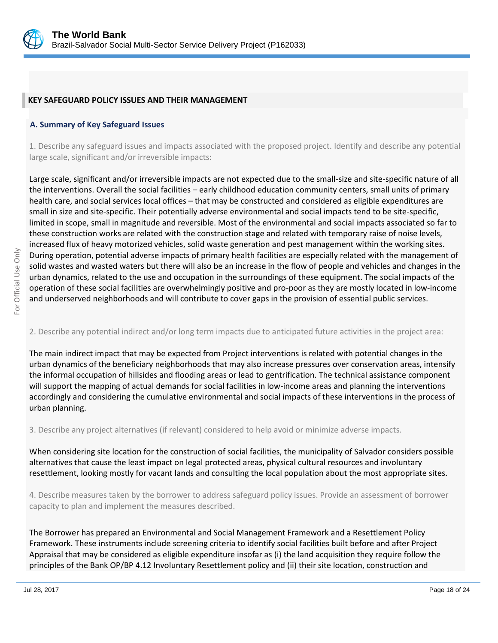

#### **KEY SAFEGUARD POLICY ISSUES AND THEIR MANAGEMENT**

#### **A. Summary of Key Safeguard Issues**

1. Describe any safeguard issues and impacts associated with the proposed project. Identify and describe any potential large scale, significant and/or irreversible impacts:

Large scale, significant and/or irreversible impacts are not expected due to the small-size and site-specific nature of all the interventions. Overall the social facilities – early childhood education community centers, small units of primary health care, and social services local offices – that may be constructed and considered as eligible expenditures are small in size and site-specific. Their potentially adverse environmental and social impacts tend to be site-specific, limited in scope, small in magnitude and reversible. Most of the environmental and social impacts associated so far to these construction works are related with the construction stage and related with temporary raise of noise levels, increased flux of heavy motorized vehicles, solid waste generation and pest management within the working sites. During operation, potential adverse impacts of primary health facilities are especially related with the management of solid wastes and wasted waters but there will also be an increase in the flow of people and vehicles and changes in the urban dynamics, related to the use and occupation in the surroundings of these equipment. The social impacts of the operation of these social facilities are overwhelmingly positive and pro-poor as they are mostly located in low-income and underserved neighborhoods and will contribute to cover gaps in the provision of essential public services.

#### 2. Describe any potential indirect and/or long term impacts due to anticipated future activities in the project area:

The main indirect impact that may be expected from Project interventions is related with potential changes in the urban dynamics of the beneficiary neighborhoods that may also increase pressures over conservation areas, intensify the informal occupation of hillsides and flooding areas or lead to gentrification. The technical assistance component will support the mapping of actual demands for social facilities in low-income areas and planning the interventions accordingly and considering the cumulative environmental and social impacts of these interventions in the process of urban planning.

3. Describe any project alternatives (if relevant) considered to help avoid or minimize adverse impacts.

When considering site location for the construction of social facilities, the municipality of Salvador considers possible alternatives that cause the least impact on legal protected areas, physical cultural resources and involuntary resettlement, looking mostly for vacant lands and consulting the local population about the most appropriate sites.

4. Describe measures taken by the borrower to address safeguard policy issues. Provide an assessment of borrower capacity to plan and implement the measures described.

The Borrower has prepared an Environmental and Social Management Framework and a Resettlement Policy Framework. These instruments include screening criteria to identify social facilities built before and after Project Appraisal that may be considered as eligible expenditure insofar as (i) the land acquisition they require follow the principles of the Bank OP/BP 4.12 Involuntary Resettlement policy and (ii) their site location, construction and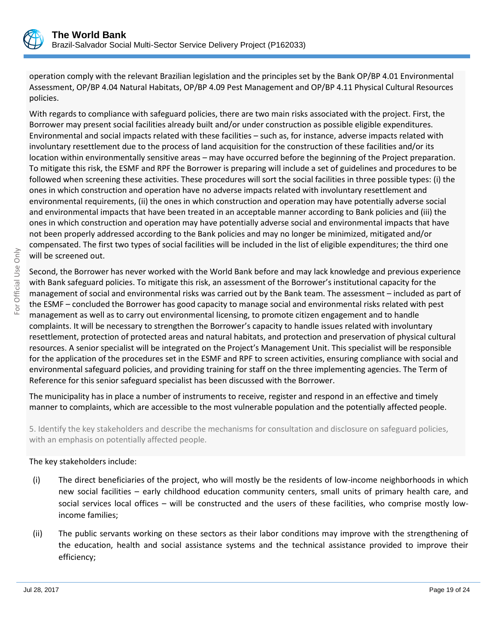

operation comply with the relevant Brazilian legislation and the principles set by the Bank OP/BP 4.01 Environmental Assessment, OP/BP 4.04 Natural Habitats, OP/BP 4.09 Pest Management and OP/BP 4.11 Physical Cultural Resources policies.

With regards to compliance with safeguard policies, there are two main risks associated with the project. First, the Borrower may present social facilities already built and/or under construction as possible eligible expenditures. Environmental and social impacts related with these facilities – such as, for instance, adverse impacts related with involuntary resettlement due to the process of land acquisition for the construction of these facilities and/or its location within environmentally sensitive areas – may have occurred before the beginning of the Project preparation. To mitigate this risk, the ESMF and RPF the Borrower is preparing will include a set of guidelines and procedures to be followed when screening these activities. These procedures will sort the social facilities in three possible types: (i) the ones in which construction and operation have no adverse impacts related with involuntary resettlement and environmental requirements, (ii) the ones in which construction and operation may have potentially adverse social and environmental impacts that have been treated in an acceptable manner according to Bank policies and (iii) the ones in which construction and operation may have potentially adverse social and environmental impacts that have not been properly addressed according to the Bank policies and may no longer be minimized, mitigated and/or compensated. The first two types of social facilities will be included in the list of eligible expenditures; the third one will be screened out.

Second, the Borrower has never worked with the World Bank before and may lack knowledge and previous experience with Bank safeguard policies. To mitigate this risk, an assessment of the Borrower's institutional capacity for the management of social and environmental risks was carried out by the Bank team. The assessment – included as part of the ESMF – concluded the Borrower has good capacity to manage social and environmental risks related with pest management as well as to carry out environmental licensing, to promote citizen engagement and to handle complaints. It will be necessary to strengthen the Borrower's capacity to handle issues related with involuntary resettlement, protection of protected areas and natural habitats, and protection and preservation of physical cultural resources. A senior specialist will be integrated on the Project's Management Unit. This specialist will be responsible for the application of the procedures set in the ESMF and RPF to screen activities, ensuring compliance with social and environmental safeguard policies, and providing training for staff on the three implementing agencies. The Term of Reference for this senior safeguard specialist has been discussed with the Borrower.

The municipality has in place a number of instruments to receive, register and respond in an effective and timely manner to complaints, which are accessible to the most vulnerable population and the potentially affected people.

5. Identify the key stakeholders and describe the mechanisms for consultation and disclosure on safeguard policies, with an emphasis on potentially affected people.

# The key stakeholders include:

- (i) The direct beneficiaries of the project, who will mostly be the residents of low-income neighborhoods in which new social facilities – early childhood education community centers, small units of primary health care, and social services local offices – will be constructed and the users of these facilities, who comprise mostly lowincome families;
- (ii) The public servants working on these sectors as their labor conditions may improve with the strengthening of the education, health and social assistance systems and the technical assistance provided to improve their efficiency;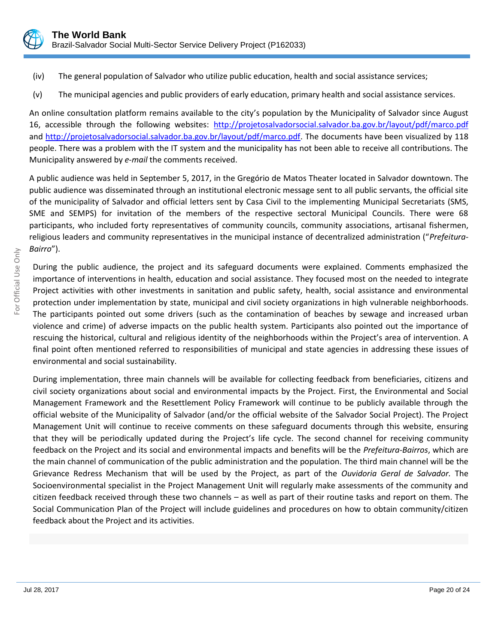

- (iv) The general population of Salvador who utilize public education, health and social assistance services;
- (v) The municipal agencies and public providers of early education, primary health and social assistance services.

An online consultation platform remains available to the city's population by the Municipality of Salvador since August 16, accessible through the following websites: <http://projetosalvadorsocial.salvador.ba.gov.br/layout/pdf/marco.pdf> and [http://projetosalvadorsocial.salvador.ba.gov.br/layout/pdf/marco.pdf.](http://projetosalvadorsocial.salvador.ba.gov.br/layout/pdf/marco.pdf) The documents have been visualized by 118 people. There was a problem with the IT system and the municipality has not been able to receive all contributions. The Municipality answered by *e-mail* the comments received.

A public audience was held in September 5, 2017, in the Gregório de Matos Theater located in Salvador downtown. The public audience was disseminated through an institutional electronic message sent to all public servants, the official site of the municipality of Salvador and official letters sent by Casa Civil to the implementing Municipal Secretariats (SMS, SME and SEMPS) for invitation of the members of the respective sectoral Municipal Councils. There were 68 participants, who included forty representatives of community councils, community associations, artisanal fishermen, religious leaders and community representatives in the municipal instance of decentralized administration ("*Prefeitura-Bairro*").

During the public audience, the project and its safeguard documents were explained. Comments emphasized the importance of interventions in health, education and social assistance. They focused most on the needed to integrate Project activities with other investments in sanitation and public safety, health, social assistance and environmental protection under implementation by state, municipal and civil society organizations in high vulnerable neighborhoods. The participants pointed out some drivers (such as the contamination of beaches by sewage and increased urban violence and crime) of adverse impacts on the public health system. Participants also pointed out the importance of rescuing the historical, cultural and religious identity of the neighborhoods within the Project's area of intervention. A final point often mentioned referred to responsibilities of municipal and state agencies in addressing these issues of environmental and social sustainability.

During implementation, three main channels will be available for collecting feedback from beneficiaries, citizens and civil society organizations about social and environmental impacts by the Project. First, the Environmental and Social Management Framework and the Resettlement Policy Framework will continue to be publicly available through the official website of the Municipality of Salvador (and/or the official website of the Salvador Social Project). The Project Management Unit will continue to receive comments on these safeguard documents through this website, ensuring that they will be periodically updated during the Project's life cycle. The second channel for receiving community feedback on the Project and its social and environmental impacts and benefits will be the *Prefeitura-Bairros*, which are the main channel of communication of the public administration and the population. The third main channel will be the Grievance Redress Mechanism that will be used by the Project, as part of the *Ouvidoria Geral de Salvador.* The Socioenvironmental specialist in the Project Management Unit will regularly make assessments of the community and citizen feedback received through these two channels – as well as part of their routine tasks and report on them. The Social Communication Plan of the Project will include guidelines and procedures on how to obtain community/citizen feedback about the Project and its activities.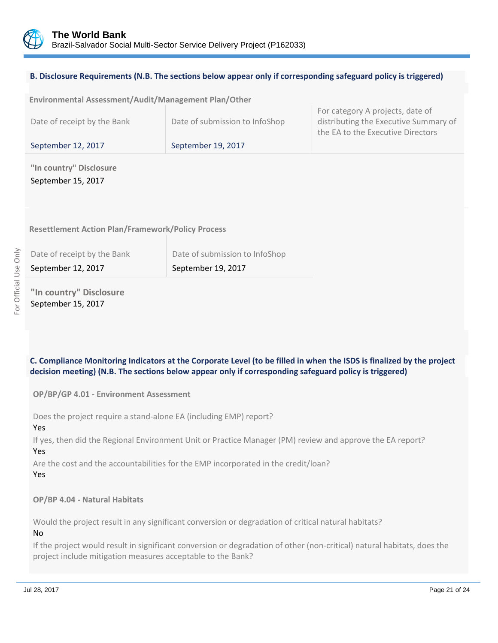

## **B. Disclosure Requirements (N.B. The sections below appear only if corresponding safeguard policy is triggered)**

| Environmental Assessment/Audit/Management Plan/Other |                                |                                                                                                                |
|------------------------------------------------------|--------------------------------|----------------------------------------------------------------------------------------------------------------|
| Date of receipt by the Bank                          | Date of submission to InfoShop | For category A projects, date of<br>distributing the Executive Summary of<br>the EA to the Executive Directors |
| September 12, 2017                                   | September 19, 2017             |                                                                                                                |
| "In country" Disclosure                              |                                |                                                                                                                |

September 15, 2017

**Resettlement Action Plan/Framework/Policy Process**

| Date of receipt by the Bank | Date of submission to InfoShop |
|-----------------------------|--------------------------------|
| September 12, 2017          | September 19, 2017             |

**"In country" Disclosure** September 15, 2017

# **C. Compliance Monitoring Indicators at the Corporate Level (to be filled in when the ISDS is finalized by the project decision meeting) (N.B. The sections below appear only if corresponding safeguard policy is triggered)**

**OP/BP/GP 4.01 - Environment Assessment** 

Does the project require a stand-alone EA (including EMP) report?

Yes

If yes, then did the Regional Environment Unit or Practice Manager (PM) review and approve the EA report? Yes

Are the cost and the accountabilities for the EMP incorporated in the credit/loan?

Yes

# **OP/BP 4.04 - Natural Habitats**

Would the project result in any significant conversion or degradation of critical natural habitats? No

If the project would result in significant conversion or degradation of other (non-critical) natural habitats, does the project include mitigation measures acceptable to the Bank?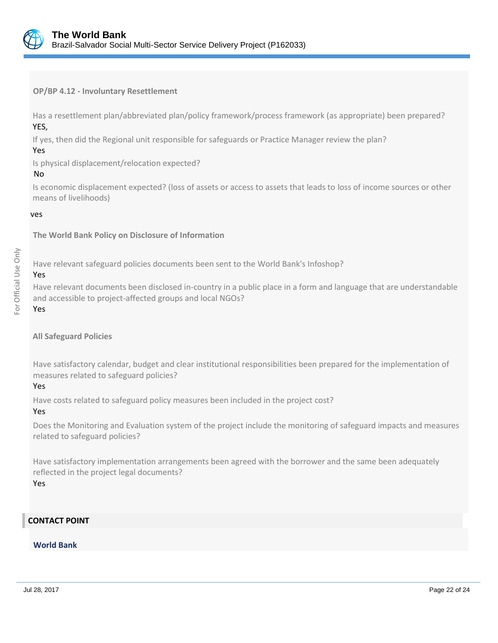

**OP/BP 4.12 - Involuntary Resettlement**

Has a resettlement plan/abbreviated plan/policy framework/process framework (as appropriate) been prepared? YES,

If yes, then did the Regional unit responsible for safeguards or Practice Manager review the plan?

#### Yes

Is physical displacement/relocation expected?

#### No

Is economic displacement expected? (loss of assets or access to assets that leads to loss of income sources or other means of livelihoods)

#### ves

**The World Bank Policy on Disclosure of Information**

Have relevant safeguard policies documents been sent to the World Bank's Infoshop?

# Yes

Have relevant documents been disclosed in-country in a public place in a form and language that are understandable and accessible to project-affected groups and local NGOs?

#### Yes

#### **All Safeguard Policies**

Have satisfactory calendar, budget and clear institutional responsibilities been prepared for the implementation of measures related to safeguard policies?

# Yes

Have costs related to safeguard policy measures been included in the project cost?

# Yes

Does the Monitoring and Evaluation system of the project include the monitoring of safeguard impacts and measures related to safeguard policies?

Have satisfactory implementation arrangements been agreed with the borrower and the same been adequately reflected in the project legal documents? Yes

# **CONTACT POINT**

# **World Bank**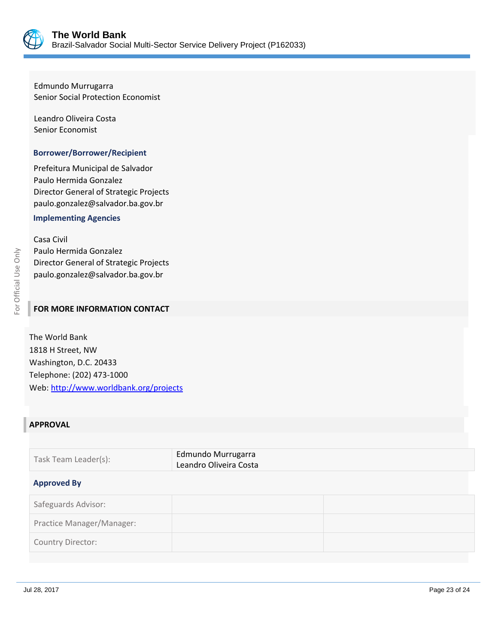

Edmundo Murrugarra Senior Social Protection Economist

Leandro Oliveira Costa Senior Economist

#### **Borrower/Borrower/Recipient**

Prefeitura Municipal de Salvador Paulo Hermida Gonzalez Director General of Strategic Projects paulo.gonzalez@salvador.ba.gov.br

#### **Implementing Agencies**

Casa Civil Paulo Hermida Gonzalez Director General of Strategic Projects paulo.gonzalez@salvador.ba.gov.br

#### **FOR MORE INFORMATION CONTACT**

The World Bank 1818 H Street, NW Washington, D.C. 20433 Telephone: (202) 473-1000 Web[: http://www.worldbank.org/projects](http://www.worldbank.org/projects)

# **APPROVAL**

| Task Team Leader(s): | Edmundo Murrugarra     |
|----------------------|------------------------|
|                      | Leandro Oliveira Costa |

#### **Approved By**

| Safeguards Advisor:       |  |
|---------------------------|--|
| Practice Manager/Manager: |  |
| Country Director:         |  |